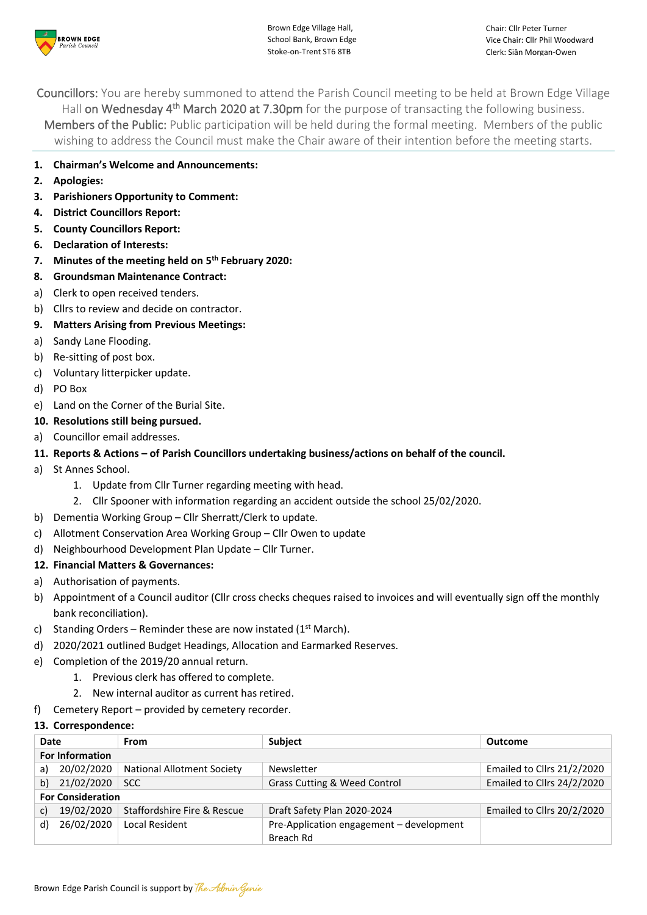

Brown Edge Village Hall, School Bank, Brown Edge Stoke-on-Trent ST6 8TB

Councillors: You are hereby summoned to attend the Parish Council meeting to be held at Brown Edge Village Hall on Wednesday 4<sup>th</sup> March 2020 at 7.30pm for the purpose of transacting the following business. Members of the Public: Public participation will be held during the formal meeting. Members of the public wishing to address the Council must make the Chair aware of their intention before the meeting starts.

- **1. Chairman's Welcome and Announcements:**
- **2. Apologies:**
- **3. Parishioners Opportunity to Comment:**
- **4. District Councillors Report:**
- **5. County Councillors Report:**
- **6. Declaration of Interests:**
- **7. Minutes of the meeting held on 5 th February 2020:**
- **8. Groundsman Maintenance Contract:**
- a) Clerk to open received tenders.
- b) Cllrs to review and decide on contractor.
- **9. Matters Arising from Previous Meetings:**
- a) Sandy Lane Flooding.
- b) Re-sitting of post box.
- c) Voluntary litterpicker update.
- d) PO Box
- e) Land on the Corner of the Burial Site.
- **10. Resolutions still being pursued.**
- a) Councillor email addresses.
- **11. Reports & Actions – of Parish Councillors undertaking business/actions on behalf of the council.**
- a) St Annes School.
	- 1. Update from Cllr Turner regarding meeting with head.
	- 2. Cllr Spooner with information regarding an accident outside the school 25/02/2020.
- b) Dementia Working Group Cllr Sherratt/Clerk to update.
- c) Allotment Conservation Area Working Group Cllr Owen to update
- d) Neighbourhood Development Plan Update Cllr Turner.
- **12. Financial Matters & Governances:**
- a) Authorisation of payments.
- b) Appointment of a Council auditor (Cllr cross checks cheques raised to invoices and will eventually sign off the monthly bank reconciliation).
- c) Standing Orders Reminder these are now instated ( $1<sup>st</sup>$  March).
- d) 2020/2021 outlined Budget Headings, Allocation and Earmarked Reserves.
- e) Completion of the 2019/20 annual return.
	- 1. Previous clerk has offered to complete.
	- 2. New internal auditor as current has retired.
- f) Cemetery Report provided by cemetery recorder.

# **13. Correspondence:**

| Date                     |            | From                              | <b>Subject</b>                           | Outcome                    |  |  |
|--------------------------|------------|-----------------------------------|------------------------------------------|----------------------------|--|--|
| <b>For Information</b>   |            |                                   |                                          |                            |  |  |
| a)                       | 20/02/2020 | <b>National Allotment Society</b> | <b>Newsletter</b>                        | Emailed to Cllrs 21/2/2020 |  |  |
| b)                       | 21/02/2020 | <b>SCC</b>                        | Grass Cutting & Weed Control             | Emailed to Cllrs 24/2/2020 |  |  |
| <b>For Consideration</b> |            |                                   |                                          |                            |  |  |
| C)                       | 19/02/2020 | Staffordshire Fire & Rescue       | Draft Safety Plan 2020-2024              | Emailed to Cllrs 20/2/2020 |  |  |
| d)                       | 26/02/2020 | Local Resident                    | Pre-Application engagement - development |                            |  |  |
|                          |            |                                   | Breach Rd                                |                            |  |  |